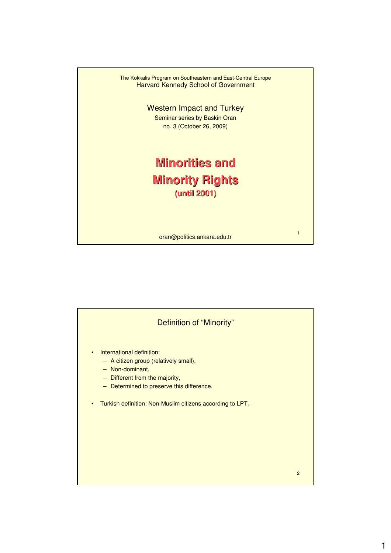

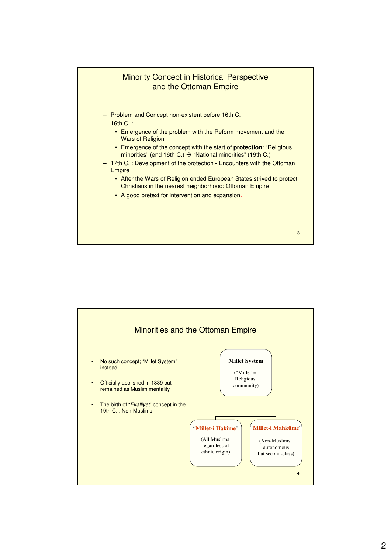

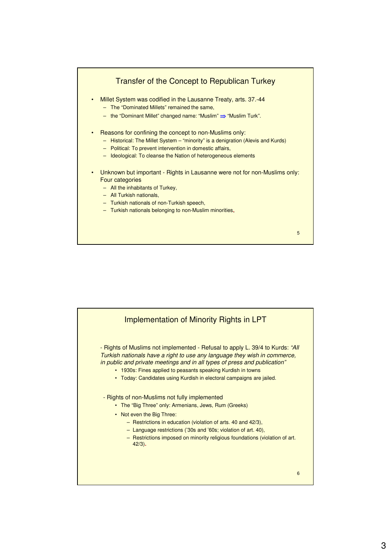

5

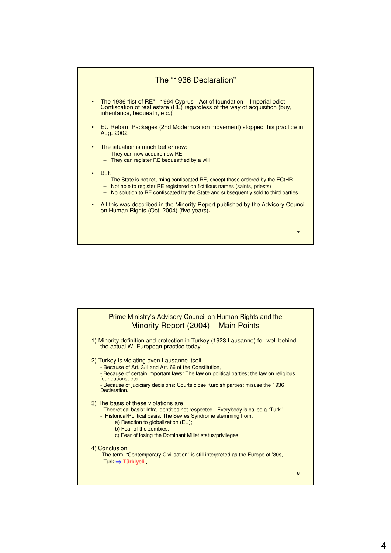

| Prime Ministry's Advisory Council on Human Rights and the<br>Minority Report (2004) - Main Points                                                                                                                                                                                                                           |   |
|-----------------------------------------------------------------------------------------------------------------------------------------------------------------------------------------------------------------------------------------------------------------------------------------------------------------------------|---|
| 1) Minority definition and protection in Turkey (1923 Lausanne) fell well behind<br>the actual W. European practice today                                                                                                                                                                                                   |   |
| 2) Turkey is violating even Lausanne itself<br>- Because of Art. 3/1 and Art. 66 of the Constitution,<br>- Because of certain important laws: The law on political parties; the law on religious<br>foundations, etc.<br>- Because of judiciary decisions: Courts close Kurdish parties; misuse the 1936<br>Declaration.    |   |
| 3) The basis of these violations are:<br>- Theoretical basis: Infra-identities not respected - Everybody is called a "Turk"<br>- Historical/Political basis: The Sevres Syndrome stemming from:<br>a) Reaction to globalization (EU);<br>b) Fear of the zombies;<br>c) Fear of losing the Dominant Millet status/privileges |   |
| 4) Conclusion:<br>-The term "Contemporary Civilisation" is still interpreted as the Europe of '30s,<br>$-Turk \implies Türkiyeli$ .                                                                                                                                                                                         | 8 |
|                                                                                                                                                                                                                                                                                                                             |   |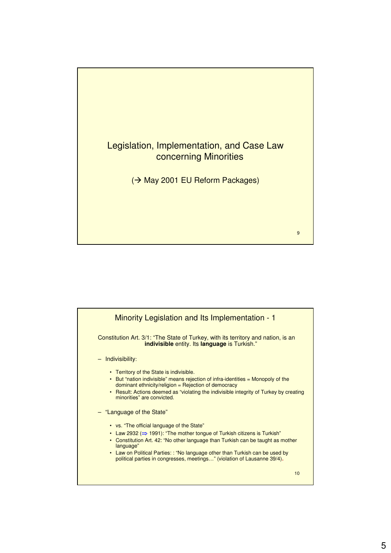

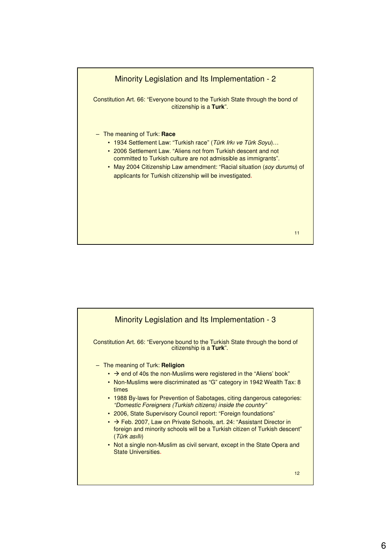

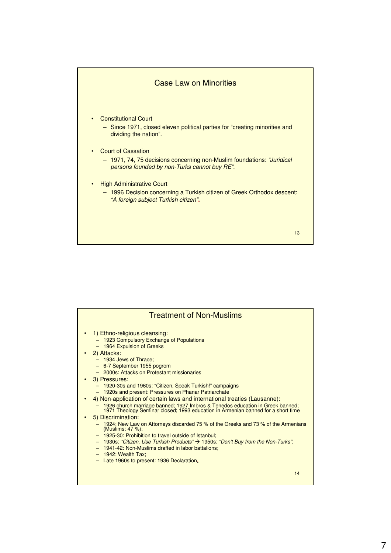

| <b>Treatment of Non-Muslims</b>                                                                                                                                                                                                                                                                                                                                                                                       |
|-----------------------------------------------------------------------------------------------------------------------------------------------------------------------------------------------------------------------------------------------------------------------------------------------------------------------------------------------------------------------------------------------------------------------|
| 1) Ethno-religious cleansing:<br>- 1923 Compulsory Exchange of Populations<br>- 1964 Expulsion of Greeks<br>2) Attacks:<br>- 1934 Jews of Thrace:<br>- 6-7 September 1955 pogrom<br>- 2000s: Attacks on Protestant missionaries                                                                                                                                                                                       |
| 3) Pressures:<br>- 1920-30s and 1960s: "Citizen, Speak Turkish!" campaigns<br>- 1920s and present: Pressures on Phanar Patriarchate<br>4) Non-application of certain laws and international treaties (Lausanne):<br>- 1926 church marriage banned; 1927 Imbros & Tenedos education in Greek banned;<br>1971 Theology Seminar closed; 1993 education in Armenian banned for a short time                               |
| 5) Discrimination:<br>1924: New Law on Attorneys discarded 75 % of the Greeks and 73 % of the Armenians<br>(Muslims: 47 %);<br>- 1925-30: Prohibition to travel outside of Istanbul:<br>$-$ 1930s: "Citizen, Use Turkish Products" $\rightarrow$ 1950s: "Don't Buy from the Non-Turks";<br>- 1941-42: Non-Muslims drafted in labor battalions;<br>$-1942$ : Wealth Tax:<br>- Late 1960s to present: 1936 Declaration. |
| 14                                                                                                                                                                                                                                                                                                                                                                                                                    |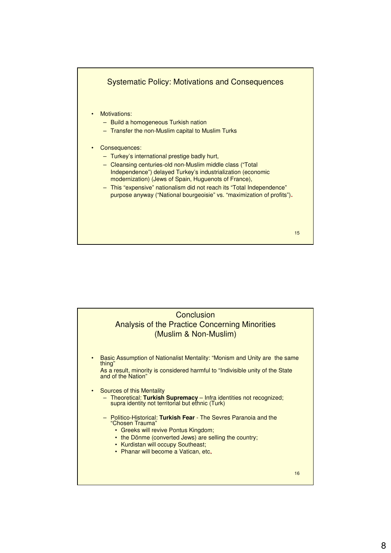